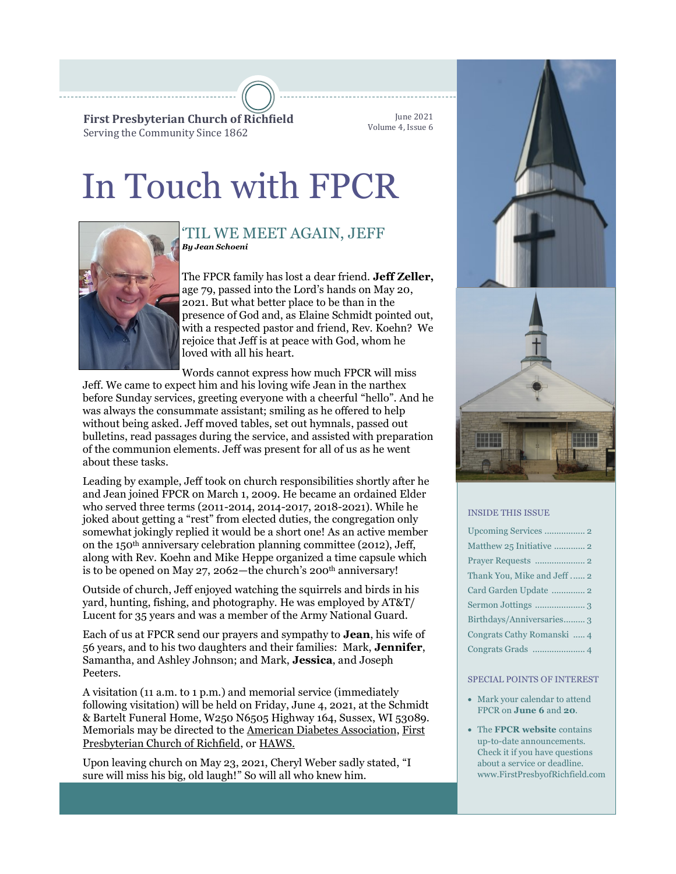**First Presbyterian Church of Richfield** Serving the Community Since 1862

June 2021 Volume 4, Issue 6

# In Touch with FPCR



### *By Jean Schoeni* 'TIL WE MEET AGAIN, JEFF

The FPCR family has lost a dear friend. **Jeff Zeller,**  age 79, passed into the Lord's hands on May 20, 2021. But what better place to be than in the presence of God and, as Elaine Schmidt pointed out, with a respected pastor and friend, Rev. Koehn? We rejoice that Jeff is at peace with God, whom he loved with all his heart.

Words cannot express how much FPCR will miss

Jeff. We came to expect him and his loving wife Jean in the narthex before Sunday services, greeting everyone with a cheerful "hello". And he was always the consummate assistant; smiling as he offered to help without being asked. Jeff moved tables, set out hymnals, passed out bulletins, read passages during the service, and assisted with preparation of the communion elements. Jeff was present for all of us as he went about these tasks.

Leading by example, Jeff took on church responsibilities shortly after he and Jean joined FPCR on March 1, 2009. He became an ordained Elder who served three terms (2011-2014, 2014-2017, 2018-2021). While he joked about getting a "rest" from elected duties, the congregation only somewhat jokingly replied it would be a short one! As an active member on the 150th anniversary celebration planning committee (2012), Jeff, along with Rev. Koehn and Mike Heppe organized a time capsule which is to be opened on May 27, 2062—the church's 200<sup>th</sup> anniversary!

Outside of church, Jeff enjoyed watching the squirrels and birds in his yard, hunting, fishing, and photography. He was employed by AT&T/ Lucent for 35 years and was a member of the Army National Guard.

Each of us at FPCR send our prayers and sympathy to **Jean**, his wife of 56 years, and to his two daughters and their families: Mark, **Jennifer**, Samantha, and Ashley Johnson; and Mark, **Jessica**, and Joseph Peeters.

A visitation (11 a.m. to 1 p.m.) and memorial service (immediately following visitation) will be held on Friday, June 4, 2021, at the Schmidt & Bartelt Funeral Home, W250 N6505 Highway 164, Sussex, WI 53089. Memorials may be directed to the [American Diabetes Association,](https://www.diabetes.org/ways-to-give) [First](https://www.FirstPresbyofRichfield.com)  [Presbyterian Church of Richfield,](https://www.FirstPresbyofRichfield.com) or [HAWS.](https://hawspets.org/)

Upon leaving church on May 23, 2021, Cheryl Weber sadly stated, "I sure will miss his big, old laugh!" So will all who knew him.





#### INSIDE THIS ISSUE

| Thank You, Mike and Jeff  2 |
|-----------------------------|
|                             |
|                             |
| Birthdays/Anniversaries 3   |
| Congrats Cathy Romanski  4  |
|                             |

#### SPECIAL POINTS OF INTEREST

- Mark your calendar to attend FPCR on **June 6** and **20**.
- The **FPCR website** contains up-to-date announcements. Check it if you have questions about a service or deadline. www.FirstPresbyofRichfield.com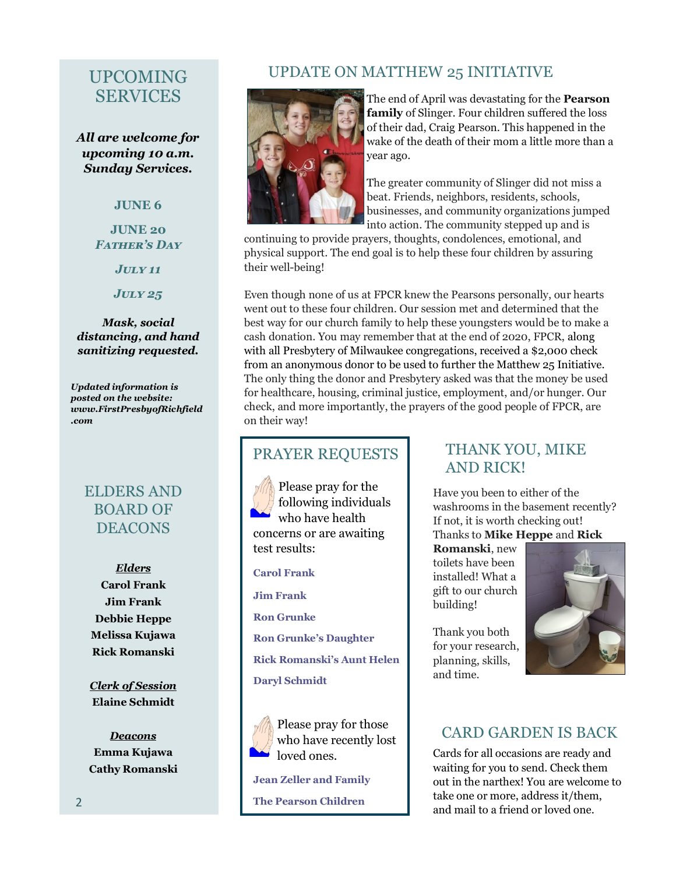# UPCOMING SERVICES

*All are welcome for upcoming 10 a.m. Sunday Services.*

### **JUNE 6**

### **JUNE 20** *Father's Day*

*July 11*

*July 25*

### *Mask, social distancing, and hand sanitizing requested.*

*Updated information is posted on the website: www.FirstPresbyofRichfield .com*

### ELDERS AND BOARD OF **DEACONS**

*Elders* **Carol Frank Jim Frank Debbie Heppe Melissa Kujawa Rick Romanski**

*Clerk of Session* **Elaine Schmidt**

*Deacons* **Emma Kujawa Cathy Romanski**

### UPDATE ON MATTHEW 25 INITIATIVE



The end of April was devastating for the **Pearson family** of Slinger. Four children suffered the loss of their dad, Craig Pearson. This happened in the wake of the death of their mom a little more than a year ago.

The greater community of Slinger did not miss a beat. Friends, neighbors, residents, schools, businesses, and community organizations jumped into action. The community stepped up and is

continuing to provide prayers, thoughts, condolences, emotional, and physical support. The end goal is to help these four children by assuring their well-being!

Even though none of us at FPCR knew the Pearsons personally, our hearts went out to these four children. Our session met and determined that the best way for our church family to help these youngsters would be to make a cash donation. You may remember that at the end of 2020, FPCR, along with all Presbytery of Milwaukee congregations, received a \$2,000 check from an anonymous donor to be used to further the Matthew 25 Initiative. The only thing the donor and Presbytery asked was that the money be used for healthcare, housing, criminal justice, employment, and/or hunger. Our check, and more importantly, the prayers of the good people of FPCR, are on their way!

### PRAYER REQUESTS

Please pray for the following individuals who have health concerns or are awaiting test results:

#### **Carol Frank**

**Jim Frank**

**Ron Grunke**

**Ron Grunke's Daughter**

**Rick Romanski's Aunt Helen**

#### **Daryl Schmidt**



Please pray for those who have recently lost loved ones.

**Jean Zeller and Family**

**The Pearson Children**

### THANK YOU, MIKE AND RICK!

Have you been to either of the washrooms in the basement recently? If not, it is worth checking out! Thanks to **Mike Heppe** and **Rick** 

**Romanski**, new toilets have been installed! What a gift to our church building!

Thank you both for your research, planning, skills, and time.



# CARD GARDEN IS BACK

Cards for all occasions are ready and waiting for you to send. Check them out in the narthex! You are welcome to take one or more, address it/them, and mail to a friend or loved one.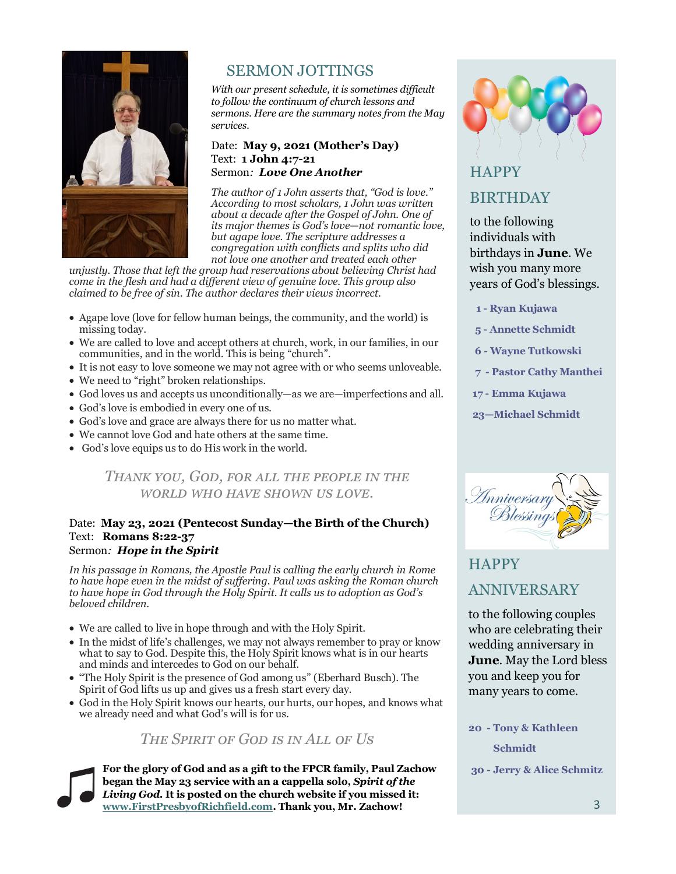

# SERMON JOTTINGS

*With our present schedule, it is sometimes difficult to follow the continuum of church lessons and sermons. Here are the summary notes from the May services.* 

### Date: **May 9, 2021 (Mother's Day)** Text: **1 John 4:7-21** Sermon*: Love One Another*

*The author of 1 John asserts that, "God is love." According to most scholars, 1 John was written about a decade after the Gospel of John. One of its major themes is God's love—not romantic love, but agape love. The scripture addresses a congregation with conflicts and splits who did not love one another and treated each other* 

*unjustly. Those that left the group had reservations about believing Christ had come in the flesh and had a different view of genuine love. This group also claimed to be free of sin. The author declares their views incorrect.* 

- Agape love (love for fellow human beings, the community, and the world) is missing today.
- We are called to love and accept others at church, work, in our families, in our communities, and in the world. This is being "church".
- It is not easy to love someone we may not agree with or who seems unloveable.
- We need to "right" broken relationships.
- God loves us and accepts us unconditionally—as we are—imperfections and all.
- God's love is embodied in every one of us.
- God's love and grace are always there for us no matter what.
- We cannot love God and hate others at the same time.
- God's love equips us to do His work in the world.

### *Thank you, God, for all the people in the world who have shown us love.*

### Date: **May 23, 2021 (Pentecost Sunday—the Birth of the Church)** Text: **Romans 8:22-37** Sermon*: Hope in the Spirit*

*In his passage in Romans, the Apostle Paul is calling the early church in Rome to have hope even in the midst of suffering. Paul was asking the Roman church to have hope in God through the Holy Spirit. It calls us to adoption as God's beloved children.* 

- We are called to live in hope through and with the Holy Spirit.
- In the midst of life's challenges, we may not always remember to pray or know what to say to God. Despite this, the Holy Spirit knows what is in our hearts and minds and intercedes to God on our behalf.
- "The Holy Spirit is the presence of God among us" (Eberhard Busch). The Spirit of God lifts us up and gives us a fresh start every day.
- God in the Holy Spirit knows our hearts, our hurts, our hopes, and knows what we already need and what God's will is for us.

### *The Spirit of God is in All of Us*

**For the glory of God and as a gift to the FPCR family, Paul Zachow began the May 23 service with an a cappella solo,** *Spirit of the Living God.* **It is posted on the church website if you missed it: [www.FirstPresbyofRichfield.com.](https://www.FirstPresbyofRichfield.com) Thank you, Mr. Zachow!**



# **HAPPY** BIRTHDAY

to the following individuals with birthdays in **June**. We wish you many more years of God's blessings.

 **1 - Ryan Kujawa**

**5 - Annette Schmidt**

 **6 - Wayne Tutkowski**

 **7 - Pastor Cathy Manthei**

**17 - Emma Kujawa**

**23—Michael Schmidt**



# **HAPPY** ANNIVERSARY

to the following couples who are celebrating their wedding anniversary in **June**. May the Lord bless you and keep you for many years to come.

**20 - Tony & Kathleen Schmidt**

**30 - Jerry & Alice Schmitz**